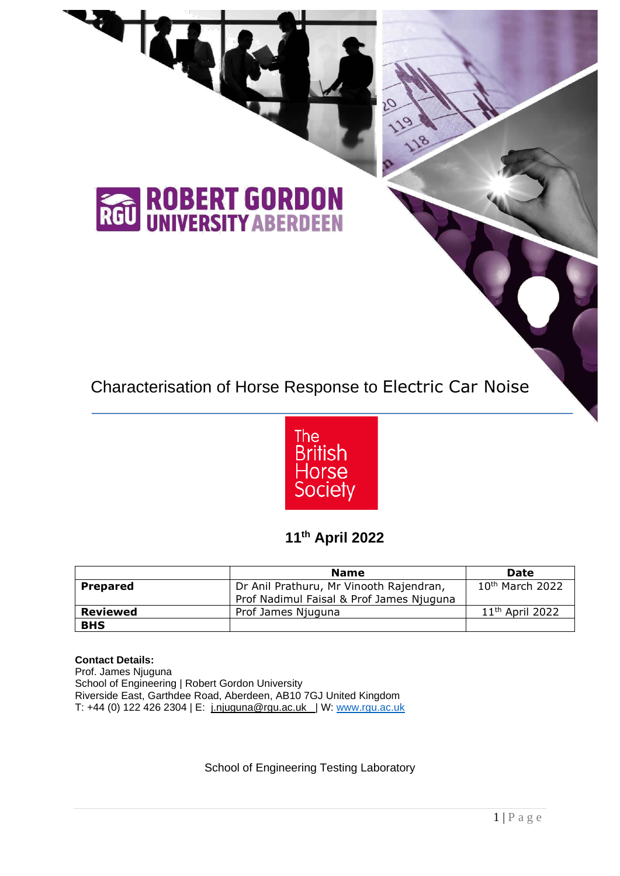# Characterisation of Horse Response to Electric Car Noise



## **11th April 2022**

|                 | <b>Name</b>                                                                         | Date                        |
|-----------------|-------------------------------------------------------------------------------------|-----------------------------|
| <b>Prepared</b> | Dr Anil Prathuru, Mr Vinooth Rajendran,<br>Prof Nadimul Faisal & Prof James Njuguna | 10 <sup>th</sup> March 2022 |
| Reviewed        | Prof James Njuguna                                                                  | 11 <sup>th</sup> April 2022 |
| <b>BHS</b>      |                                                                                     |                             |

#### **Contact Details:**

RGU

Prof. James Njuguna School of Engineering | Robert Gordon University Riverside East, Garthdee Road, Aberdeen, AB10 7GJ United Kingdom T: +44 (0) 122 426 2304 | E: [j.njuguna@rgu.ac.uk](mailto:j.njuguna@rgu.ac.uk) | W: [www.rgu.ac.uk](http://www.rgu.ac.uk/)

**ROBERT GORDON**<br>UNIVERSITY ABERDEEN

School of Engineering Testing Laboratory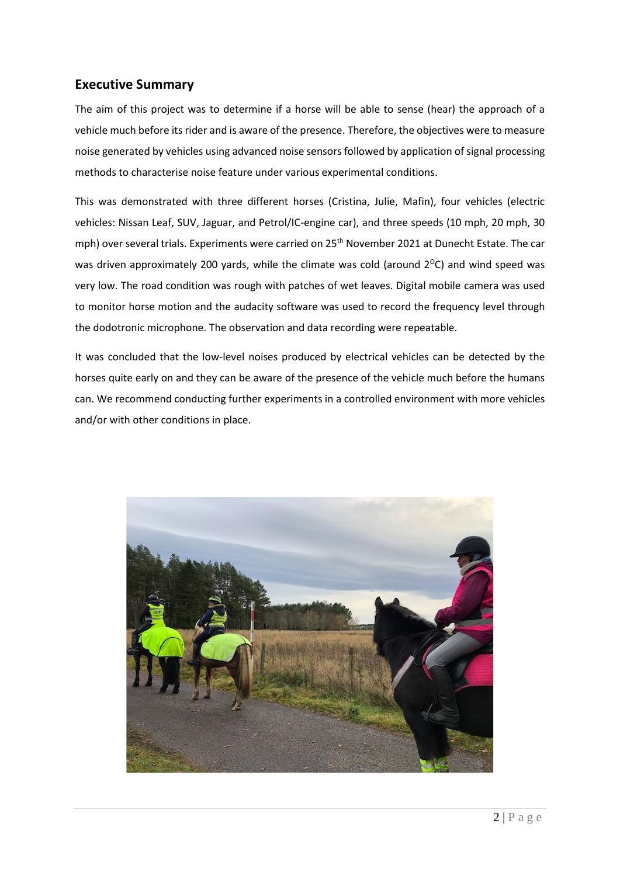#### **Executive Summary**

The aim of this project was to determine if a horse will be able to sense (hear) the approach of a vehicle much before its rider and is aware of the presence. Therefore, the objectives were to measure noise generated by vehicles using advanced noise sensors followed by application of signal processing methods to characterise noise feature under various experimental conditions.

This was demonstrated with three different horses (Cristina, Julie, Mafin), four vehicles (electric vehicles: Nissan Leaf, SUV, Jaguar, and Petrol/IC-engine car), and three speeds (10 mph, 20 mph, 30 mph) over several trials. Experiments were carried on 25<sup>th</sup> November 2021 at Dunecht Estate. The car was driven approximately 200 yards, while the climate was cold (around  $2^{\circ}$ C) and wind speed was very low. The road condition was rough with patches of wet leaves. Digital mobile camera was used to monitor horse motion and the audacity software was used to record the frequency level through the dodotronic microphone. The observation and data recording were repeatable.

It was concluded that the low-level noises produced by electrical vehicles can be detected by the horses quite early on and they can be aware of the presence of the vehicle much before the humans can. We recommend conducting further experiments in a controlled environment with more vehicles and/or with other conditions in place.

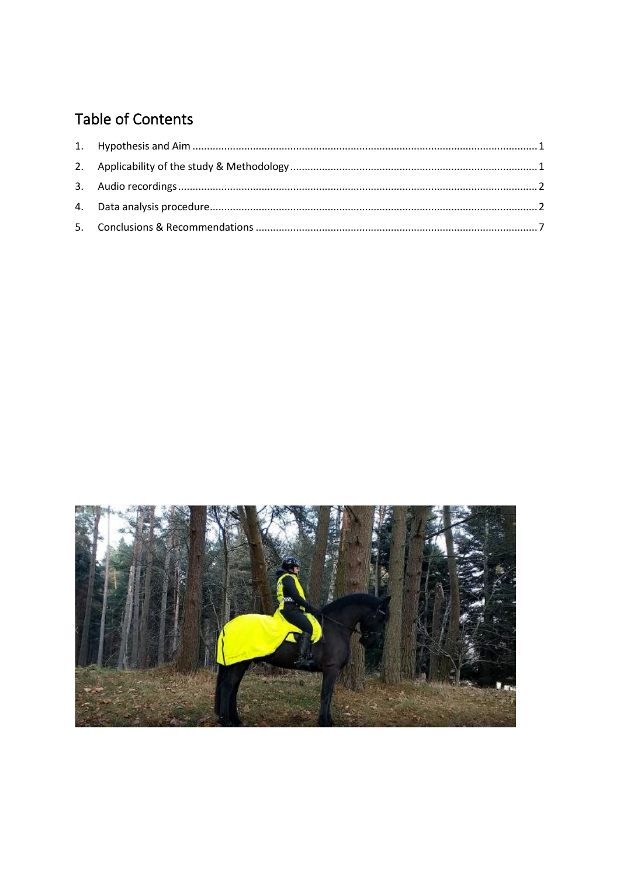# Table of Contents

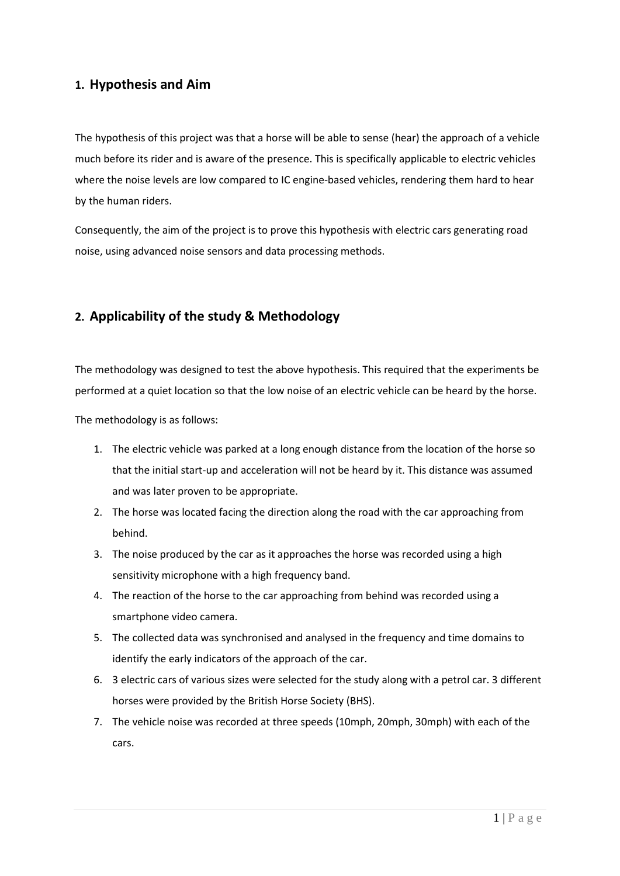#### <span id="page-3-0"></span>**1. Hypothesis and Aim**

The hypothesis of this project was that a horse will be able to sense (hear) the approach of a vehicle much before its rider and is aware of the presence. This is specifically applicable to electric vehicles where the noise levels are low compared to IC engine-based vehicles, rendering them hard to hear by the human riders.

Consequently, the aim of the project is to prove this hypothesis with electric cars generating road noise, using advanced noise sensors and data processing methods.

#### <span id="page-3-1"></span>**2. Applicability of the study & Methodology**

The methodology was designed to test the above hypothesis. This required that the experiments be performed at a quiet location so that the low noise of an electric vehicle can be heard by the horse.

The methodology is as follows:

- 1. The electric vehicle was parked at a long enough distance from the location of the horse so that the initial start-up and acceleration will not be heard by it. This distance was assumed and was later proven to be appropriate.
- 2. The horse was located facing the direction along the road with the car approaching from behind.
- 3. The noise produced by the car as it approaches the horse was recorded using a high sensitivity microphone with a high frequency band.
- 4. The reaction of the horse to the car approaching from behind was recorded using a smartphone video camera.
- 5. The collected data was synchronised and analysed in the frequency and time domains to identify the early indicators of the approach of the car.
- 6. 3 electric cars of various sizes were selected for the study along with a petrol car. 3 different horses were provided by the British Horse Society (BHS).
- 7. The vehicle noise was recorded at three speeds (10mph, 20mph, 30mph) with each of the cars.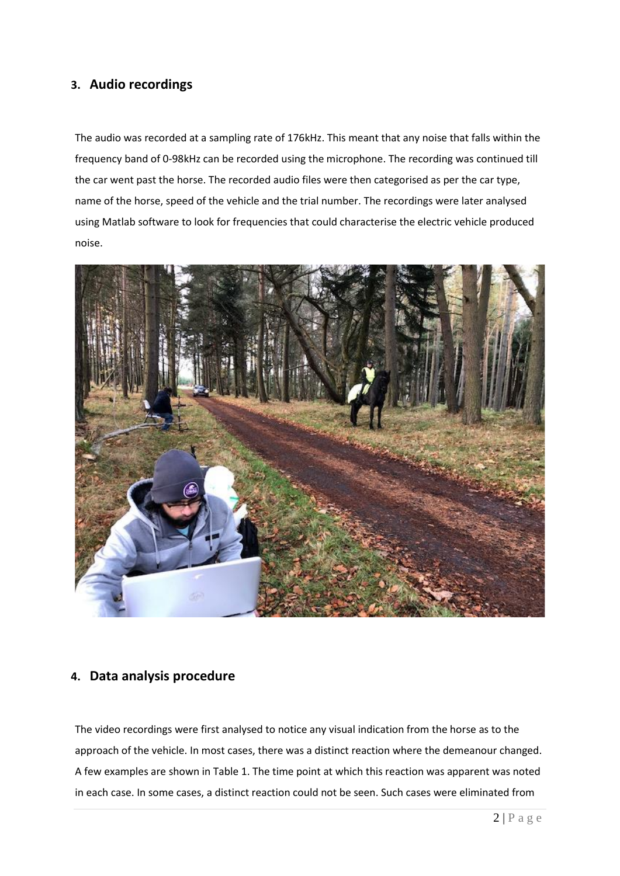#### <span id="page-4-0"></span>**3. Audio recordings**

The audio was recorded at a sampling rate of 176kHz. This meant that any noise that falls within the frequency band of 0-98kHz can be recorded using the microphone. The recording was continued till the car went past the horse. The recorded audio files were then categorised as per the car type, name of the horse, speed of the vehicle and the trial number. The recordings were later analysed using Matlab software to look for frequencies that could characterise the electric vehicle produced noise.



#### <span id="page-4-1"></span>**4. Data analysis procedure**

The video recordings were first analysed to notice any visual indication from the horse as to the approach of the vehicle. In most cases, there was a distinct reaction where the demeanour changed. A few examples are shown in Table 1. The time point at which this reaction was apparent was noted in each case. In some cases, a distinct reaction could not be seen. Such cases were eliminated from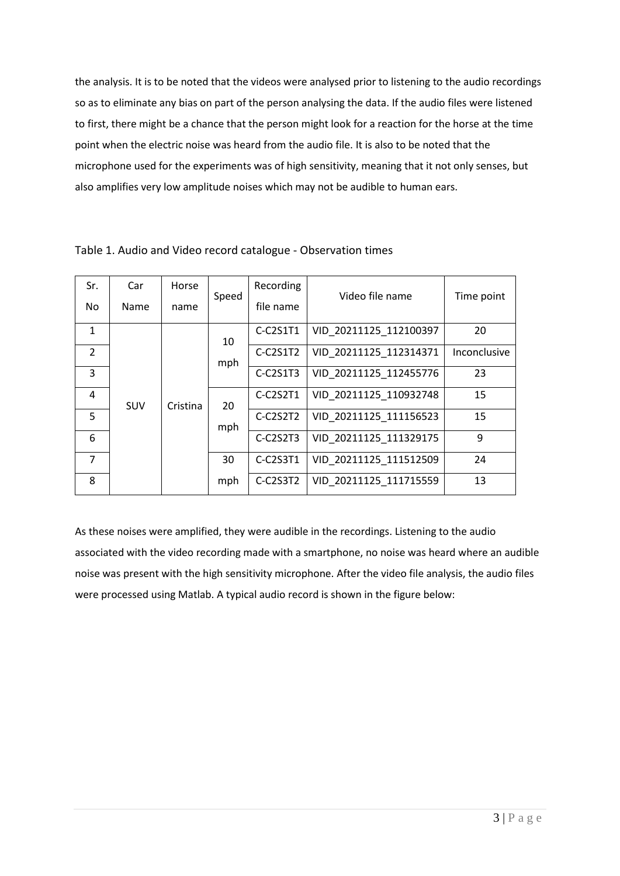the analysis. It is to be noted that the videos were analysed prior to listening to the audio recordings so as to eliminate any bias on part of the person analysing the data. If the audio files were listened to first, there might be a chance that the person might look for a reaction for the horse at the time point when the electric noise was heard from the audio file. It is also to be noted that the microphone used for the experiments was of high sensitivity, meaning that it not only senses, but also amplifies very low amplitude noises which may not be audible to human ears.

| Sr.            | Car        | Horse    | Speed    | Recording              | Video file name        | Time point   |          |                        |    |
|----------------|------------|----------|----------|------------------------|------------------------|--------------|----------|------------------------|----|
| No.            | Name       | name     |          | file name              |                        |              |          |                        |    |
| $\mathbf{1}$   |            |          | 10       | C-C2S1T1               | VID 20211125 112100397 | 20           |          |                        |    |
| $\overline{2}$ |            |          | mph      | C-C2S1T2               | VID 20211125 112314371 | Inconclusive |          |                        |    |
| 3              |            |          |          | $C-C2S1T3$             | VID 20211125_112455776 | 23           |          |                        |    |
| 4              | <b>SUV</b> | Cristina | 20       | C-C2S2T1               | VID 20211125 110932748 | 15           |          |                        |    |
| 5              |            |          |          |                        |                        | mph          | C-C2S2T2 | VID 20211125_111156523 | 15 |
| 6              |            |          |          | C-C2S2T3               | VID 20211125_111329175 | 9            |          |                        |    |
| $\overline{7}$ |            | 30       | C-C2S3T1 | VID 20211125 111512509 | 24                     |              |          |                        |    |
| 8              |            |          | mph      | $C-C2S3T2$             | VID 20211125 111715559 | 13           |          |                        |    |

Table 1. Audio and Video record catalogue - Observation times

As these noises were amplified, they were audible in the recordings. Listening to the audio associated with the video recording made with a smartphone, no noise was heard where an audible noise was present with the high sensitivity microphone. After the video file analysis, the audio files were processed using Matlab. A typical audio record is shown in the figure below: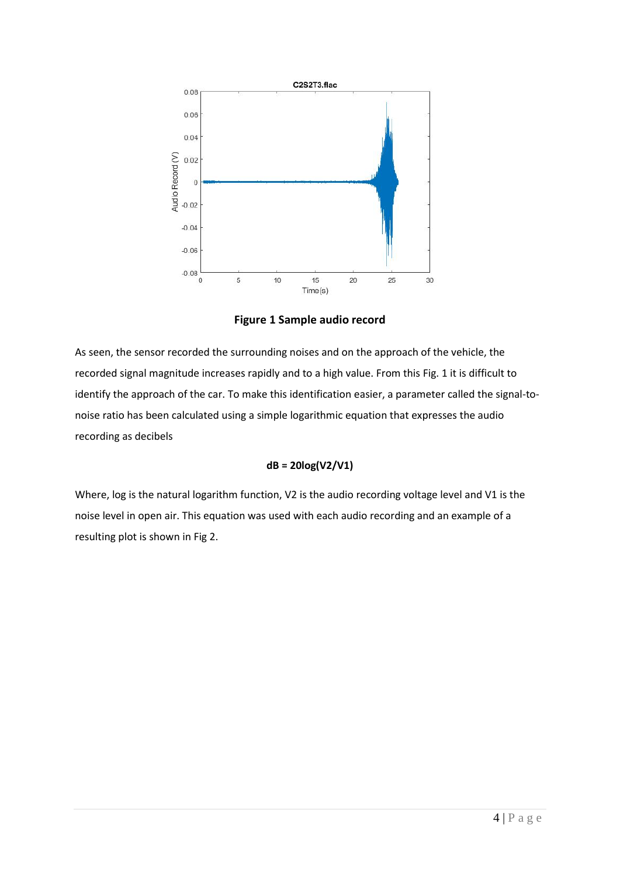

**Figure 1 Sample audio record**

As seen, the sensor recorded the surrounding noises and on the approach of the vehicle, the recorded signal magnitude increases rapidly and to a high value. From this Fig. 1 it is difficult to identify the approach of the car. To make this identification easier, a parameter called the signal-tonoise ratio has been calculated using a simple logarithmic equation that expresses the audio recording as decibels

#### **dB = 20log(V2/V1)**

Where, log is the natural logarithm function, V2 is the audio recording voltage level and V1 is the noise level in open air. This equation was used with each audio recording and an example of a resulting plot is shown in Fig 2.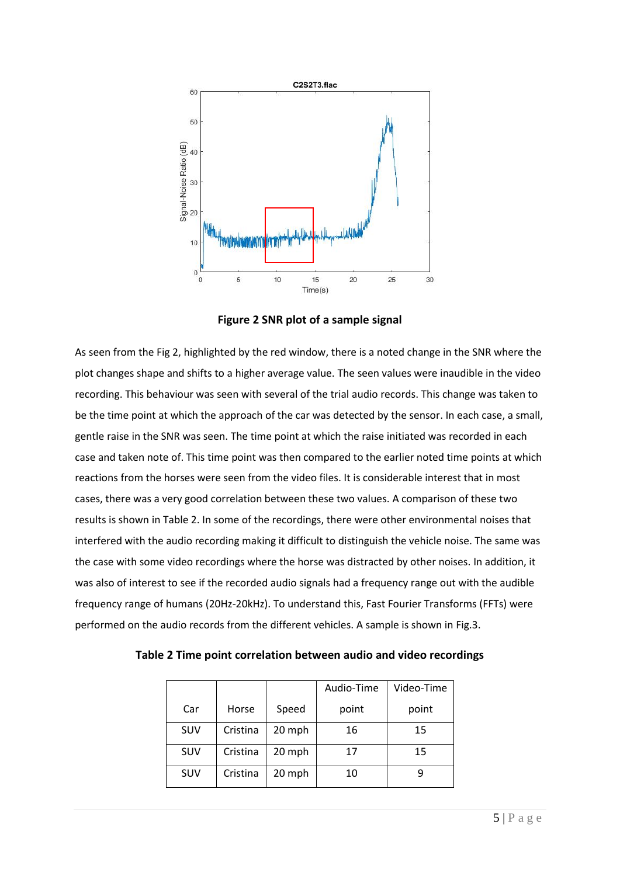

**Figure 2 SNR plot of a sample signal**

As seen from the Fig 2, highlighted by the red window, there is a noted change in the SNR where the plot changes shape and shifts to a higher average value. The seen values were inaudible in the video recording. This behaviour was seen with several of the trial audio records. This change was taken to be the time point at which the approach of the car was detected by the sensor. In each case, a small, gentle raise in the SNR was seen. The time point at which the raise initiated was recorded in each case and taken note of. This time point was then compared to the earlier noted time points at which reactions from the horses were seen from the video files. It is considerable interest that in most cases, there was a very good correlation between these two values. A comparison of these two results is shown in Table 2. In some of the recordings, there were other environmental noises that interfered with the audio recording making it difficult to distinguish the vehicle noise. The same was the case with some video recordings where the horse was distracted by other noises. In addition, it was also of interest to see if the recorded audio signals had a frequency range out with the audible frequency range of humans (20Hz-20kHz). To understand this, Fast Fourier Transforms (FFTs) were performed on the audio records from the different vehicles. A sample is shown in Fig.3.

|            |          |        | Audio-Time | Video-Time |
|------------|----------|--------|------------|------------|
| Car        | Horse    | Speed  | point      | point      |
| <b>SUV</b> | Cristina | 20 mph | 16         | 15         |
| SUV        | Cristina | 20 mph | 17         | 15         |
| <b>SUV</b> | Cristina | 20 mph | 10         |            |

**Table 2 Time point correlation between audio and video recordings**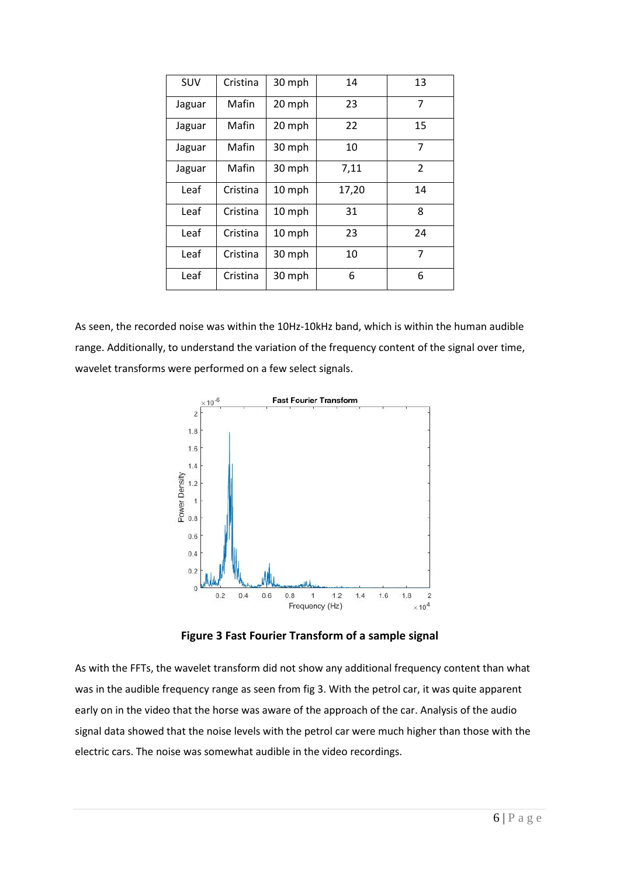| SUV    | Cristina | 30 mph | 14    | 13             |
|--------|----------|--------|-------|----------------|
| Jaguar | Mafin    | 20 mph | 23    | 7              |
| Jaguar | Mafin    | 20 mph | 22    | 15             |
| Jaguar | Mafin    | 30 mph | 10    | 7              |
| Jaguar | Mafin    | 30 mph | 7,11  | $\overline{2}$ |
| Leaf   | Cristina | 10 mph | 17,20 | 14             |
| Leaf   | Cristina | 10 mph | 31    | 8              |
| Leaf   | Cristina | 10 mph | 23    | 24             |
| Leaf   | Cristina | 30 mph | 10    | 7              |
| Leaf   | Cristina | 30 mph | 6     | 6              |

As seen, the recorded noise was within the 10Hz-10kHz band, which is within the human audible range. Additionally, to understand the variation of the frequency content of the signal over time, wavelet transforms were performed on a few select signals.



**Figure 3 Fast Fourier Transform of a sample signal**

As with the FFTs, the wavelet transform did not show any additional frequency content than what was in the audible frequency range as seen from fig 3. With the petrol car, it was quite apparent early on in the video that the horse was aware of the approach of the car. Analysis of the audio signal data showed that the noise levels with the petrol car were much higher than those with the electric cars. The noise was somewhat audible in the video recordings.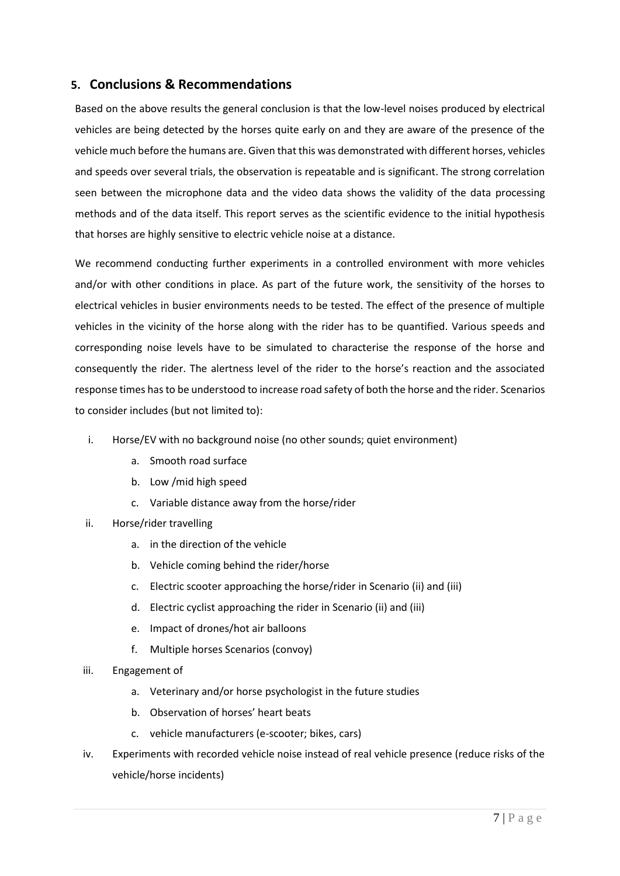#### <span id="page-9-0"></span>**5. Conclusions & Recommendations**

Based on the above results the general conclusion is that the low-level noises produced by electrical vehicles are being detected by the horses quite early on and they are aware of the presence of the vehicle much before the humans are. Given that this was demonstrated with different horses, vehicles and speeds over several trials, the observation is repeatable and is significant. The strong correlation seen between the microphone data and the video data shows the validity of the data processing methods and of the data itself. This report serves as the scientific evidence to the initial hypothesis that horses are highly sensitive to electric vehicle noise at a distance.

We recommend conducting further experiments in a controlled environment with more vehicles and/or with other conditions in place. As part of the future work, the sensitivity of the horses to electrical vehicles in busier environments needs to be tested. The effect of the presence of multiple vehicles in the vicinity of the horse along with the rider has to be quantified. Various speeds and corresponding noise levels have to be simulated to characterise the response of the horse and consequently the rider. The alertness level of the rider to the horse's reaction and the associated response times hasto be understood to increase road safety of both the horse and the rider. Scenarios to consider includes (but not limited to):

- i. Horse/EV with no background noise (no other sounds; quiet environment)
	- a. Smooth road surface
	- b. Low /mid high speed
	- c. Variable distance away from the horse/rider
- ii. Horse/rider travelling
	- a. in the direction of the vehicle
	- b. Vehicle coming behind the rider/horse
	- c. Electric scooter approaching the horse/rider in Scenario (ii) and (iii)
	- d. Electric cyclist approaching the rider in Scenario (ii) and (iii)
	- e. Impact of drones/hot air balloons
	- f. Multiple horses Scenarios (convoy)
- iii. Engagement of
	- a. Veterinary and/or horse psychologist in the future studies
	- b. Observation of horses' heart beats
	- c. vehicle manufacturers (e-scooter; bikes, cars)
- iv. Experiments with recorded vehicle noise instead of real vehicle presence (reduce risks of the vehicle/horse incidents)